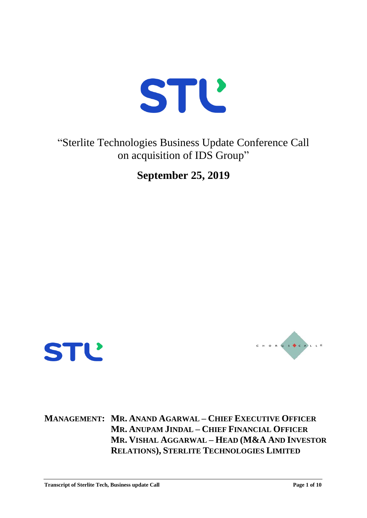

"Sterlite Technologies Business Update Conference Call on acquisition of IDS Group"

**September 25, 2019**





**MANAGEMENT: MR. ANAND AGARWAL – CHIEF EXECUTIVE OFFICER MR. ANUPAM JINDAL – CHIEF FINANCIAL OFFICER MR. VISHAL AGGARWAL – HEAD (M&A AND INVESTOR RELATIONS), STERLITE TECHNOLOGIES LIMITED**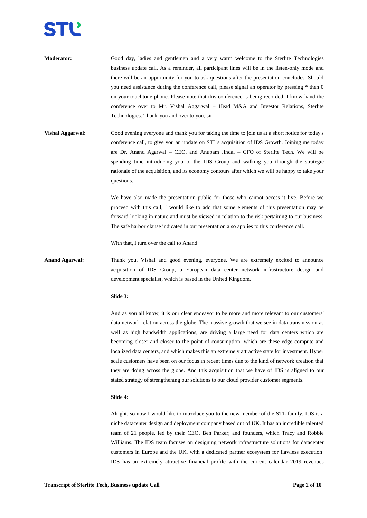- **Moderator:** Good day, ladies and gentlemen and a very warm welcome to the Sterlite Technologies business update call. As a reminder, all participant lines will be in the listen-only mode and there will be an opportunity for you to ask questions after the presentation concludes. Should you need assistance during the conference call, please signal an operator by pressing \* then 0 on your touchtone phone. Please note that this conference is being recorded. I know hand the conference over to Mr. Vishal Aggarwal – Head M&A and Investor Relations, Sterlite Technologies. Thank-you and over to you, sir.
- **Vishal Aggarwal:** Good evening everyone and thank you for taking the time to join us at a short notice for today's conference call, to give you an update on STL's acquisition of IDS Growth. Joining me today are Dr. Anand Agarwal – CEO, and Anupam Jindal – CFO of Sterlite Tech. We will be spending time introducing you to the IDS Group and walking you through the strategic rationale of the acquisition, and its economy contours after which we will be happy to take your questions.

We have also made the presentation public for those who cannot access it live. Before we proceed with this call, I would like to add that some elements of this presentation may be forward-looking in nature and must be viewed in relation to the risk pertaining to our business. The safe harbor clause indicated in our presentation also applies to this conference call.

With that, I turn over the call to Anand.

**Anand Agarwal:** Thank you, Vishal and good evening, everyone. We are extremely excited to announce acquisition of IDS Group, a European data center network infrastructure design and development specialist, which is based in the United Kingdom.

# **Slide 3:**

And as you all know, it is our clear endeavor to be more and more relevant to our customers' data network relation across the globe. The massive growth that we see in data transmission as well as high bandwidth applications, are driving a large need for data centers which are becoming closer and closer to the point of consumption, which are these edge compute and localized data centers, and which makes this an extremely attractive state for investment. Hyper scale customers have been on our focus in recent times due to the kind of network creation that they are doing across the globe. And this acquisition that we have of IDS is aligned to our stated strategy of strengthening our solutions to our cloud provider customer segments.

# **Slide 4:**

Alright, so now I would like to introduce you to the new member of the STL family. IDS is a niche datacenter design and deployment company based out of UK. It has an incredible talented team of 21 people, led by their CEO, Ben Parker; and founders, which Tracy and Robbie Williams. The IDS team focuses on designing network infrastructure solutions for datacenter customers in Europe and the UK, with a dedicated partner ecosystem for flawless execution. IDS has an extremely attractive financial profile with the current calendar 2019 revenues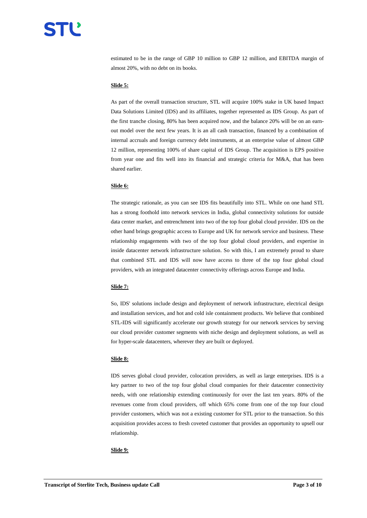estimated to be in the range of GBP 10 million to GBP 12 million, and EBITDA margin of almost 20%, with no debt on its books.

# **Slide 5:**

As part of the overall transaction structure, STL will acquire 100% stake in UK based Impact Data Solutions Limited (IDS) and its affiliates, together represented as IDS Group. As part of the first tranche closing, 80% has been acquired now, and the balance 20% will be on an earnout model over the next few years. It is an all cash transaction, financed by a combination of internal accruals and foreign currency debt instruments, at an enterprise value of almost GBP 12 million, representing 100% of share capital of IDS Group. The acquisition is EPS positive from year one and fits well into its financial and strategic criteria for M&A, that has been shared earlier.

## **Slide 6:**

The strategic rationale, as you can see IDS fits beautifully into STL. While on one hand STL has a strong foothold into network services in India, global connectivity solutions for outside data center market, and entrenchment into two of the top four global cloud provider. IDS on the other hand brings geographic access to Europe and UK for network service and business. These relationship engagements with two of the top four global cloud providers, and expertise in inside datacenter network infrastructure solution. So with this, I am extremely proud to share that combined STL and IDS will now have access to three of the top four global cloud providers, with an integrated datacenter connectivity offerings across Europe and India.

# **Slide 7:**

So, IDS' solutions include design and deployment of network infrastructure, electrical design and installation services, and hot and cold isle containment products. We believe that combined STL**-**IDS will significantly accelerate our growth strategy for our network services by serving our cloud provider customer segments with niche design and deployment solutions, as well as for hyper**-**scale datacenters, wherever they are built or deployed.

# **Slide 8:**

IDS serves global cloud provider, colocation providers, as well as large enterprises. IDS is a key partner to two of the top four global cloud companies for their datacenter connectivity needs, with one relationship extending continuously for over the last ten years. 80% of the revenues come from cloud providers, off which 65% come from one of the top four cloud provider customers, which was not a existing customer for STL prior to the transaction. So this acquisition provides access to fresh coveted customer that provides an opportunity to upsell our relationship.

## **Slide 9:**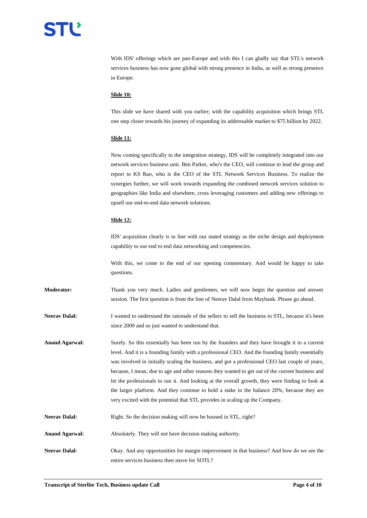With IDS' offerings which are pan-Europe and with this I can gladly say that STL's network services business has now gone global with strong presence in India, as well as strong presence in Europe.

# **Slide 10:**

This slide we have shared with you earlier; with the capability acquisition which brings STL one step closer towards his journey of expanding its addressable market to \$75 billion by 2022.

## **Slide 11:**

Now coming specifically to the integration strategy, IDS will be completely integrated into our network services business unit. Ben Parker, who's the CEO, will continue to lead the group and report to KS Rao, who is the CEO of the STL Network Services Business. To realize the synergies further, we will work towards expanding the combined network services solution to geographies like India and elsewhere, cross leveraging customers and adding new offerings to upsell our end-to-end data network solutions.

## **Slide 12:**

IDS' acquisition clearly is in line with our stated strategy as the niche design and deployment capability to our end to end data networking and competencies.

With this, we come to the end of our opening commentary. And would be happy to take questions.

**Moderator:** Thank you very much. Ladies and gentlemen, we will now begin the question and answer session. The first question is from the line of Neerav Dalal from Maybank. Please go ahead.

**Neerav Dalal:** I wanted to understand the rationale of the sellers to sell the business to STL, because it's been since 2009 and so just wanted to understand that.

**Anand Agarwal:** Surely. So this essentially has been run by the founders and they have brought it to a current level. And it is a founding family with a professional CEO. And the founding family essentially was involved in initially scaling the business, and got a professional CEO last couple of years, because, I mean, due to age and other reasons they wanted to get out of the current business and let the professionals to run it. And looking at the overall growth, they were finding to look at the larger platform. And they continue to hold a stake in the balance 20%, because they are very excited with the potential that STL provides in scaling up the Company.

- Neerav Dalal: Right. So the decision making will now be housed in STL, right?
- Anand Agarwal: Absolutely. They will not have decision making authority.
- **Neerav Dalal:** Okay. And any opportunities for margin improvement in that business? And how do we see the entire services business then move for SOTL?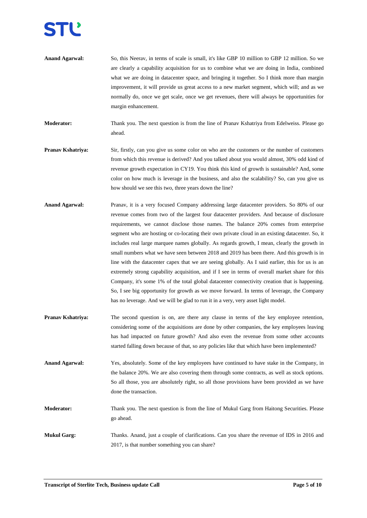

**Anand Agarwal:** So, this Neerav, in terms of scale is small, it's like GBP 10 million to GBP 12 million. So we are clearly a capability acquisition for us to combine what we are doing in India, combined what we are doing in datacenter space, and bringing it together. So I think more than margin improvement, it will provide us great access to a new market segment, which will; and as we normally do, once we get scale, once we get revenues, there will always be opportunities for margin enhancement.

**Moderator:** Thank you. The next question is from the line of Pranav Kshatriya from Edelweiss. Please go ahead.

- **Pranav Kshatriya:** Sir, firstly, can you give us some color on who are the customers or the number of customers from which this revenue is derived? And you talked about you would almost, 30% odd kind of revenue growth expectation in CY19. You think this kind of growth is sustainable? And, some color on how much is leverage in the business, and also the scalability? So, can you give us how should we see this two, three years down the line?
- **Anand Agarwal:** Pranav, it is a very focused Company addressing large datacenter providers. So 80% of our revenue comes from two of the largest four datacenter providers. And because of disclosure requirements, we cannot disclose those names. The balance 20% comes from enterprise segment who are hosting or co-locating their own private cloud in an existing datacenter. So, it includes real large marquee names globally. As regards growth, I mean, clearly the growth in small numbers what we have seen between 2018 and 2019 has been there. And this growth is in line with the datacenter capex that we are seeing globally. As I said earlier, this for us is an extremely strong capability acquisition, and if I see in terms of overall market share for this Company, it's some 1% of the total global datacenter connectivity creation that is happening. So, I see big opportunity for growth as we move forward. In terms of leverage, the Company has no leverage. And we will be glad to run it in a very, very asset light model.
- **Pranav Kshatriya:** The second question is on, are there any clause in terms of the key employee retention, considering some of the acquisitions are done by other companies, the key employees leaving has had impacted on future growth? And also even the revenue from some other accounts started falling down because of that, so any policies like that which have been implemented?

**Anand Agarwal:** Yes, absolutely. Some of the key employees have continued to have stake in the Company, in the balance 20%. We are also covering them through some contracts, as well as stock options. So all those, you are absolutely right, so all those provisions have been provided as we have done the transaction.

**Moderator:** Thank you. The next question is from the line of Mukul Garg from Haitong Securities. Please go ahead.

**Mukul Garg:** Thanks. Anand, just a couple of clarifications. Can you share the revenue of IDS in 2016 and 2017, is that number something you can share?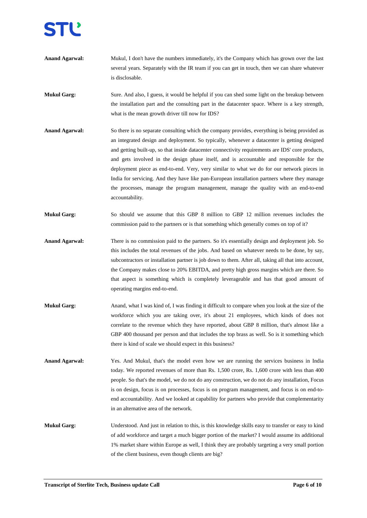

**Anand Agarwal:** Mukul, I don't have the numbers immediately, it's the Company which has grown over the last several years. Separately with the IR team if you can get in touch, then we can share whatever is disclosable.

**Mukul Garg:** Sure. And also, I guess, it would be helpful if you can shed some light on the breakup between the installation part and the consulting part in the datacenter space. Where is a key strength, what is the mean growth driver till now for IDS?

- **Anand Agarwal:** So there is no separate consulting which the company provides, everything is being provided as an integrated design and deployment. So typically, whenever a datacenter is getting designed and getting built-up, so that inside datacenter connectivity requirements are IDS' core products, and gets involved in the design phase itself, and is accountable and responsible for the deployment piece as end-to-end. Very, very similar to what we do for our network pieces in India for servicing. And they have like pan-European installation partners where they manage the processes, manage the program management, manage the quality with an end-to-end accountability.
- **Mukul Garg:** So should we assume that this GBP 8 million to GBP 12 million revenues includes the commission paid to the partners or is that something which generally comes on top of it?
- **Anand Agarwal:** There is no commission paid to the partners. So it's essentially design and deployment job. So this includes the total revenues of the jobs. And based on whatever needs to be done, by say, subcontractors or installation partner is job down to them. After all, taking all that into account, the Company makes close to 20% EBITDA, and pretty high gross margins which are there. So that aspect is something which is completely leverageable and has that good amount of operating margins end-to-end.
- **Mukul Garg:** Anand, what I was kind of, I was finding it difficult to compare when you look at the size of the workforce which you are taking over, it's about 21 employees, which kinds of does not correlate to the revenue which they have reported, about GBP 8 million, that's almost like a GBP 400 thousand per person and that includes the top brass as well. So is it something which there is kind of scale we should expect in this business?
- **Anand Agarwal:** Yes. And Mukul, that's the model even how we are running the services business in India today. We reported revenues of more than Rs. 1,500 crore, Rs. 1,600 crore with less than 400 people. So that's the model, we do not do any construction, we do not do any installation, Focus is on design, focus is on processes, focus is on program management, and focus is on end-toend accountability. And we looked at capability for partners who provide that complementarity in an alternative area of the network.
- **Mukul Garg:** Understood. And just in relation to this, is this knowledge skills easy to transfer or easy to kind of add workforce and target a much bigger portion of the market? I would assume its additional 1% market share within Europe as well, I think they are probably targeting a very small portion of the client business, even though clients are big?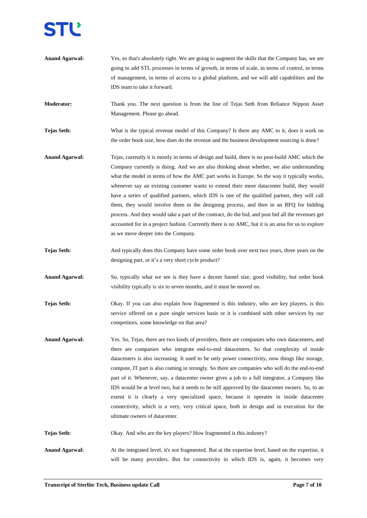**Anand Agarwal:** Yes, so that's absolutely right. We are going to augment the skills that the Company has, we are going to add STL processes in terms of growth, in terms of scale, in terms of control, in terms of management, in terms of access to a global platform, and we will add capabilities and the IDS team to take it forward.

**Moderator:** Thank you. The next question is from the line of Tejas Seth from Reliance Nippon Asset Management. Please go ahead.

**Tejas Seth:** What is the typical revenue model of this Company? Is there any AMC to it, does it work on the order book size, how does do the revenue and the business development sourcing is done?

- **Anand Agarwal:** Tejas, currently it is mostly in terms of design and build, there is no post-build AMC which the Company currently is doing. And we are also thinking about whether, we also understanding what the model in terms of how the AMC part works in Europe. So the way it typically works, whenever say an existing customer wants to extend their more datacenter build, they would have a series of qualified partners, which IDS is one of the qualified partner, they will call them, they would involve them in the designing process, and then in an RFQ for bidding process. And they would take a part of the contract, do the bid, and post bid all the revenues get accounted for in a project fashion. Currently there is no AMC, but it is an area for us to explore as we move deeper into the Company.
- **Tejas Seth:** And typically does this Company have some order book over next two years, three years on the designing part, or it's a very short cycle product?

Anand Agarwal: So, typically what we see is they have a decent funnel size, good visibility, but order book visibility typically is six to seven months, and it must be moved on.

- **Tejas Seth:** Okay. If you can also explain how fragmented is this industry, who are key players, is this service offered on a pure single services basis or it is combined with other services by our competitors, some knowledge on that area?
- **Anand Agarwal:** Yes. So, Tejas, there are two kinds of providers, there are companies who own datacenters, and there are companies who integrate end-to-end datacenters. So that complexity of inside datacenters is also increasing. It used to be only power connectivity, now things like storage, compute, IT part is also coming in strongly. So there are companies who will do the end-to-end part of it. Whenever, say, a datacenter owner gives a job to a full integrator, a Company like IDS would be at level two, but it needs to be still approved by the datacenter owners. So, to an extent it is clearly a very specialized space, because it operates in inside datacenter connectivity, which is a very, very critical space, both in design and in execution for the ultimate owners of datacenter.

**Tejas Seth:** Okay. And who are the key players? How fragmented is this industry?

Anand Agarwal: At the integrated level, it's not fragmented. But at the expertise level, based on the expertise, it will be many providers. But for connectivity in which IDS is, again, it becomes very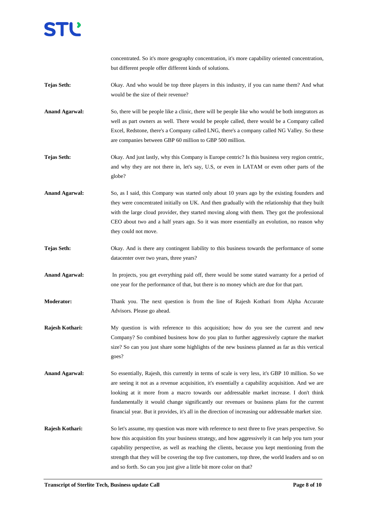

concentrated. So it's more geography concentration, it's more capability oriented concentration, but different people offer different kinds of solutions.

- **Tejas Seth:** Okay. And who would be top three players in this industry, if you can name them? And what would be the size of their revenue?
- **Anand Agarwal:** So, there will be people like a clinic, there will be people like who would be both integrators as well as part owners as well. There would be people called, there would be a Company called Excel, Redstone, there's a Company called LNG, there's a company called NG Valley. So these are companies between GBP 60 million to GBP 500 million.
- **Tejas Seth:** Okay. And just lastly, why this Company is Europe centric? Is this business very region centric, and why they are not there in, let's say, U.S, or even in LATAM or even other parts of the globe?
- **Anand Agarwal:** So, as I said, this Company was started only about 10 years ago by the existing founders and they were concentrated initially on UK. And then gradually with the relationship that they built with the large cloud provider, they started moving along with them. They got the professional CEO about two and a half years ago. So it was more essentially an evolution, no reason why they could not move.
- **Tejas Seth:** Okay. And is there any contingent liability to this business towards the performance of some datacenter over two years, three years?
- Anand Agarwal: In projects, you get everything paid off, there would be some stated warranty for a period of one year for the performance of that, but there is no money which are due for that part.
- **Moderator:** Thank you. The next question is from the line of Rajesh Kothari from Alpha Accurate Advisors. Please go ahead.
- **Rajesh Kothari:** My question is with reference to this acquisition; how do you see the current and new Company? So combined business how do you plan to further aggressively capture the market size? So can you just share some highlights of the new business planned as far as this vertical goes?
- **Anand Agarwal:** So essentially, Rajesh, this currently in terms of scale is very less, it's GBP 10 million. So we are seeing it not as a revenue acquisition, it's essentially a capability acquisition. And we are looking at it more from a macro towards our addressable market increase. I don't think fundamentally it would change significantly our revenues or business plans for the current financial year. But it provides, it's all in the direction of increasing our addressable market size.

**Rajesh Kothari:** So let's assume, my question was more with reference to next three to five years perspective. So how this acquisition fits your business strategy, and how aggressively it can help you turn your capability perspective, as well as reaching the clients, because you kept mentioning from the strength that they will be covering the top five customers, top three, the world leaders and so on and so forth. So can you just give a little bit more color on that?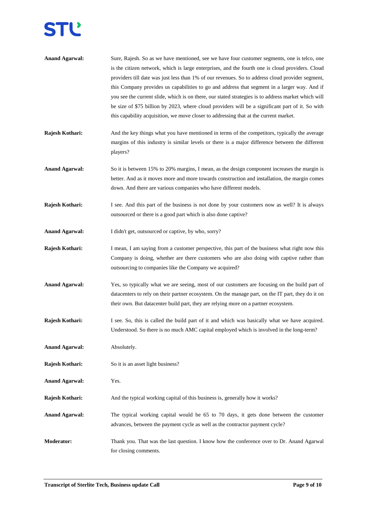# **STL**

| <b>Anand Agarwal:</b> | Sure, Rajesh. So as we have mentioned, see we have four customer segments, one is telco, one<br>is the citizen network, which is large enterprises, and the fourth one is cloud providers. Cloud<br>providers till date was just less than 1% of our revenues. So to address cloud provider segment,<br>this Company provides us capabilities to go and address that segment in a larger way. And if<br>you see the current slide, which is on there, our stated strategies is to address market which will<br>be size of \$75 billion by 2023, where cloud providers will be a significant part of it. So with<br>this capability acquisition, we move closer to addressing that at the current market. |
|-----------------------|----------------------------------------------------------------------------------------------------------------------------------------------------------------------------------------------------------------------------------------------------------------------------------------------------------------------------------------------------------------------------------------------------------------------------------------------------------------------------------------------------------------------------------------------------------------------------------------------------------------------------------------------------------------------------------------------------------|
| Rajesh Kothari:       | And the key things what you have mentioned in terms of the competitors, typically the average<br>margins of this industry is similar levels or there is a major difference between the different<br>players?                                                                                                                                                                                                                                                                                                                                                                                                                                                                                             |
| <b>Anand Agarwal:</b> | So it is between 15% to 20% margins, I mean, as the design component increases the margin is<br>better. And as it moves more and more towards construction and installation, the margin comes<br>down. And there are various companies who have different models.                                                                                                                                                                                                                                                                                                                                                                                                                                        |
| Rajesh Kothari:       | I see. And this part of the business is not done by your customers now as well? It is always<br>outsourced or there is a good part which is also done captive?                                                                                                                                                                                                                                                                                                                                                                                                                                                                                                                                           |
| <b>Anand Agarwal:</b> | I didn't get, outsourced or captive, by who, sorry?                                                                                                                                                                                                                                                                                                                                                                                                                                                                                                                                                                                                                                                      |
| Rajesh Kothari:       | I mean, I am saying from a customer perspective, this part of the business what right now this<br>Company is doing, whether are there customers who are also doing with captive rather than<br>outsourcing to companies like the Company we acquired?                                                                                                                                                                                                                                                                                                                                                                                                                                                    |
| <b>Anand Agarwal:</b> | Yes, so typically what we are seeing, most of our customers are focusing on the build part of<br>datacenters to rely on their partner ecosystem. On the manage part, on the IT part, they do it on<br>their own. But datacenter build part, they are relying more on a partner ecosystem.                                                                                                                                                                                                                                                                                                                                                                                                                |
| Rajesh Kothari:       | I see. So, this is called the build part of it and which was basically what we have acquired.<br>Understood. So there is no much AMC capital employed which is involved in the long-term?                                                                                                                                                                                                                                                                                                                                                                                                                                                                                                                |
| <b>Anand Agarwal:</b> | Absolutely.                                                                                                                                                                                                                                                                                                                                                                                                                                                                                                                                                                                                                                                                                              |
| Rajesh Kothari:       | So it is an asset light business?                                                                                                                                                                                                                                                                                                                                                                                                                                                                                                                                                                                                                                                                        |
| <b>Anand Agarwal:</b> | Yes.                                                                                                                                                                                                                                                                                                                                                                                                                                                                                                                                                                                                                                                                                                     |
| Rajesh Kothari:       | And the typical working capital of this business is, generally how it works?                                                                                                                                                                                                                                                                                                                                                                                                                                                                                                                                                                                                                             |
| <b>Anand Agarwal:</b> | The typical working capital would be 65 to 70 days, it gets done between the customer<br>advances, between the payment cycle as well as the contractor payment cycle?                                                                                                                                                                                                                                                                                                                                                                                                                                                                                                                                    |
| <b>Moderator:</b>     | Thank you. That was the last question. I know how the conference over to Dr. Anand Agarwal<br>for closing comments.                                                                                                                                                                                                                                                                                                                                                                                                                                                                                                                                                                                      |